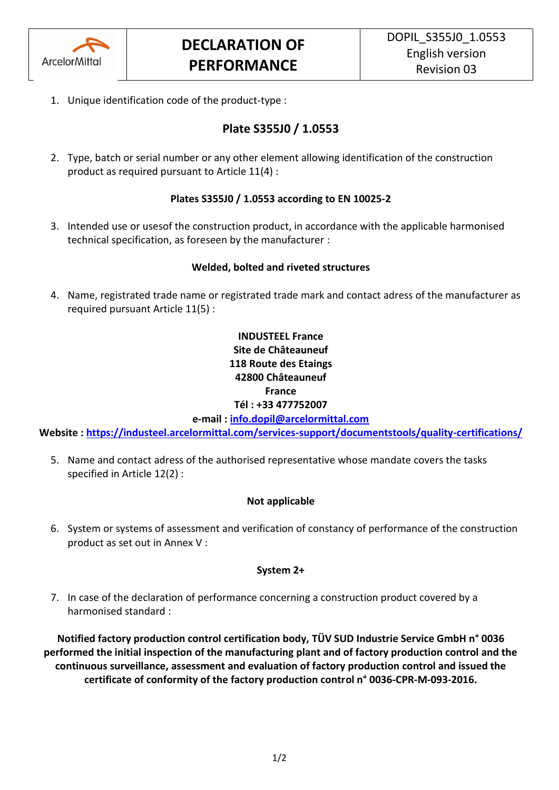

1. Unique identification code of the product-type :

# **Plate S355J0 / 1.0553**

2. Type, batch or serial number or any other element allowing identification of the construction product as required pursuant to Article 11(4) :

### **Plates S355J0 / 1.0553 according to EN 10025-2**

3. Intended use or usesof the construction product, in accordance with the applicable harmonised technical specification, as foreseen by the manufacturer :

### **Welded, bolted and riveted structures**

4. Name, registrated trade name or registrated trade mark and contact adress of the manufacturer as required pursuant Article 11(5) :

## **INDUSTEEL France Site de Châteauneuf 118 Route des Etaings 42800 Châteauneuf France Tél : +33 477752007**

**e-mail : [info.dopil@arcelormittal.com](mailto:info.dopil@arcelormittal.com)**

**Website :<https://industeel.arcelormittal.com/services-support/documentstools/quality-certifications/>**

5. Name and contact adress of the authorised representative whose mandate covers the tasks specified in Article 12(2) :

### **Not applicable**

6. System or systems of assessment and verification of constancy of performance of the construction product as set out in Annex V :

#### **System 2+**

7. In case of the declaration of performance concerning a construction product covered by a harmonised standard :

**Notified factory production control certification body, TÜV SUD Industrie Service GmbH n° 0036 performed the initial inspection of the manufacturing plant and of factory production control and the continuous surveillance, assessment and evaluation of factory production control and issued the certificate of conformity of the factory production control n° 0036-CPR-M-093-2016.**